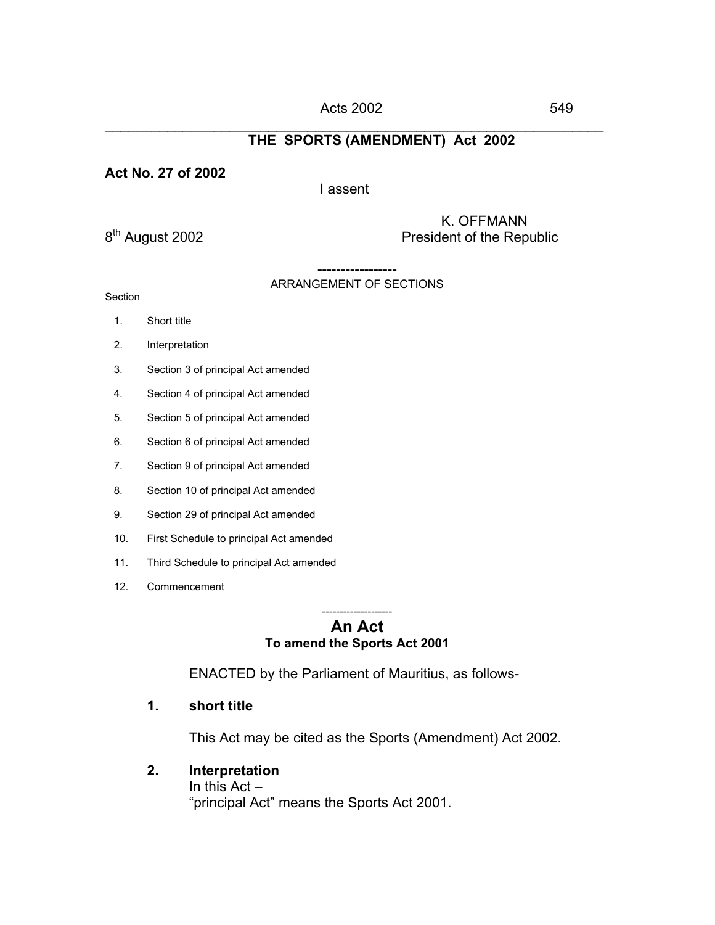#### \_\_\_\_\_\_\_\_\_\_\_\_\_\_\_\_\_\_\_\_\_\_\_\_\_\_\_\_\_\_\_\_\_\_\_\_\_\_\_\_\_\_\_\_\_\_\_\_\_\_\_\_\_\_\_\_\_\_\_\_\_\_\_\_ **THE SPORTS (AMENDMENT) Act 2002**

#### **Act No. 27 of 2002**

#### I assent

8<sup>th</sup> August 2002 **K. OFFMANN**<br>President of the Rep President of the Republic

# ARRANGEMENT OF SECTIONS

Section

- 1. Short title
- 2. Interpretation
- 3. Section 3 of principal Act amended
- 4. Section 4 of principal Act amended
- 5. Section 5 of principal Act amended
- 6. Section 6 of principal Act amended
- 7. Section 9 of principal Act amended
- 8. Section 10 of principal Act amended
- 9. Section 29 of principal Act amended
- 10. First Schedule to principal Act amended
- 11. Third Schedule to principal Act amended
- 12. Commencement

#### -------------------- **An Act To amend the Sports Act 2001**

ENACTED by the Parliament of Mauritius, as follows-

# **1. short title**

This Act may be cited as the Sports (Amendment) Act 2002.

**2. Interpretation** In this Act – "principal Act" means the Sports Act 2001.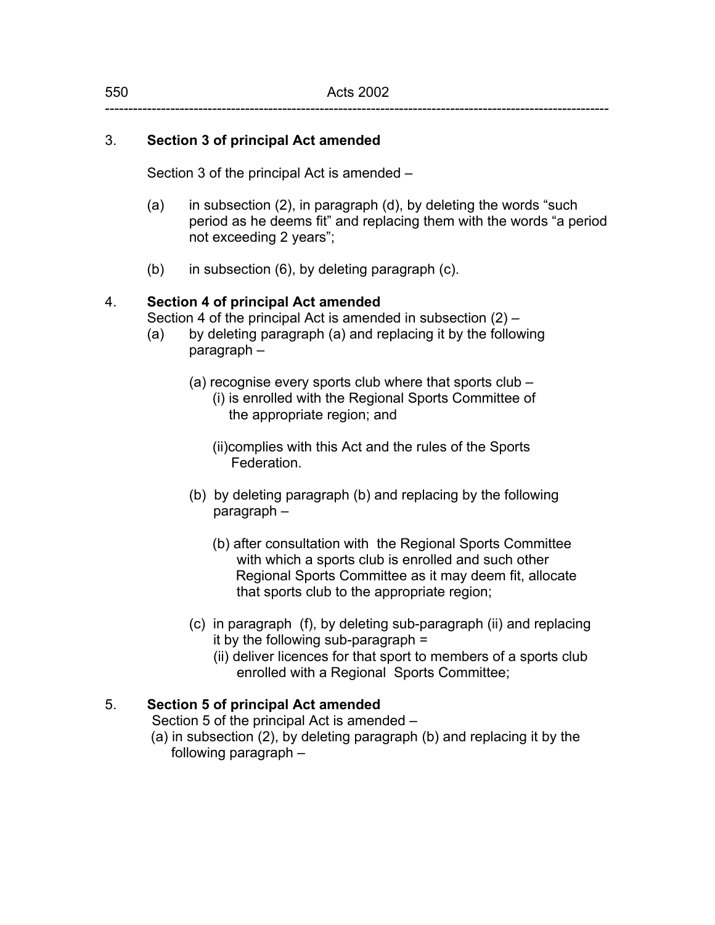# 3. **Section 3 of principal Act amended**

Section 3 of the principal Act is amended –

- (a) in subsection (2), in paragraph (d), by deleting the words "such period as he deems fit" and replacing them with the words "a period not exceeding 2 years";
- (b) in subsection (6), by deleting paragraph (c).

#### 4. **Section 4 of principal Act amended**

Section 4 of the principal Act is amended in subsection (2) –

- (a) by deleting paragraph (a) and replacing it by the following paragraph –
	- (a) recognise every sports club where that sports club (i) is enrolled with the Regional Sports Committee of the appropriate region; and

 (ii)complies with this Act and the rules of the Sports Federation.

- (b) by deleting paragraph (b) and replacing by the following paragraph –
	- (b) after consultation with the Regional Sports Committee with which a sports club is enrolled and such other Regional Sports Committee as it may deem fit, allocate that sports club to the appropriate region;
- (c) in paragraph (f), by deleting sub-paragraph (ii) and replacing it by the following sub-paragraph  $=$ 
	- (ii) deliver licences for that sport to members of a sports club enrolled with a Regional Sports Committee;

# 5. **Section 5 of principal Act amended**

Section 5 of the principal Act is amended –

 (a) in subsection (2), by deleting paragraph (b) and replacing it by the following paragraph –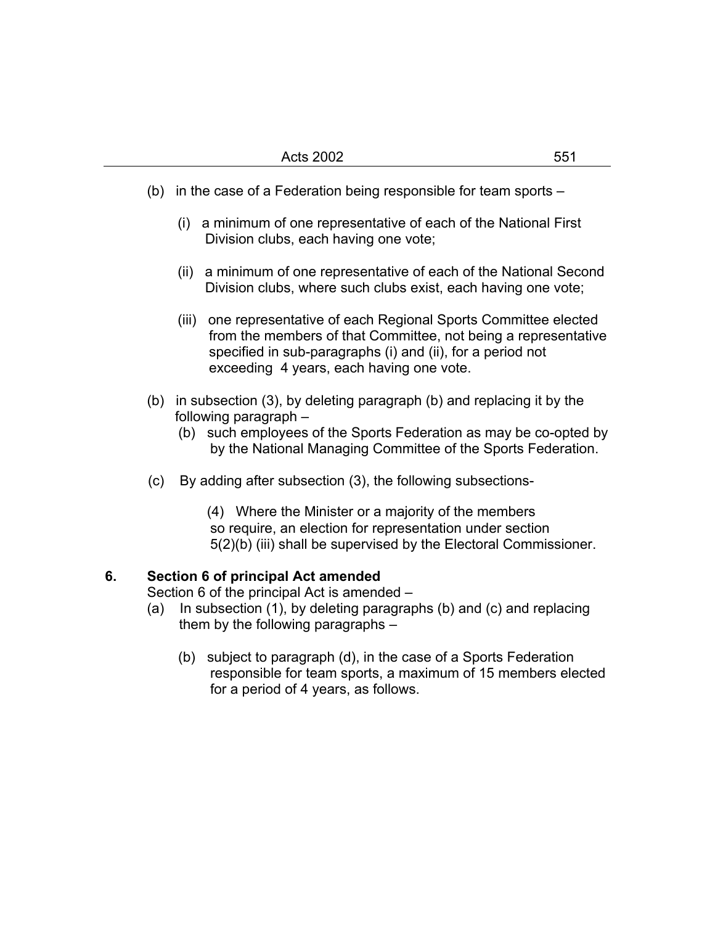- (b) in the case of a Federation being responsible for team sports
	- (i) a minimum of one representative of each of the National First Division clubs, each having one vote;
	- (ii) a minimum of one representative of each of the National Second Division clubs, where such clubs exist, each having one vote;
	- (iii) one representative of each Regional Sports Committee elected from the members of that Committee, not being a representative specified in sub-paragraphs (i) and (ii), for a period not exceeding 4 years, each having one vote.
- (b) in subsection (3), by deleting paragraph (b) and replacing it by the following paragraph –
	- (b) such employees of the Sports Federation as may be co-opted by by the National Managing Committee of the Sports Federation.
- (c) By adding after subsection (3), the following subsections-

(4) Where the Minister or a majority of the members so require, an election for representation under section 5(2)(b) (iii) shall be supervised by the Electoral Commissioner.

# **6. Section 6 of principal Act amended**

Section 6 of the principal Act is amended –

- (a) In subsection (1), by deleting paragraphs (b) and (c) and replacing them by the following paragraphs –
	- (b) subject to paragraph (d), in the case of a Sports Federation responsible for team sports, a maximum of 15 members elected for a period of 4 years, as follows.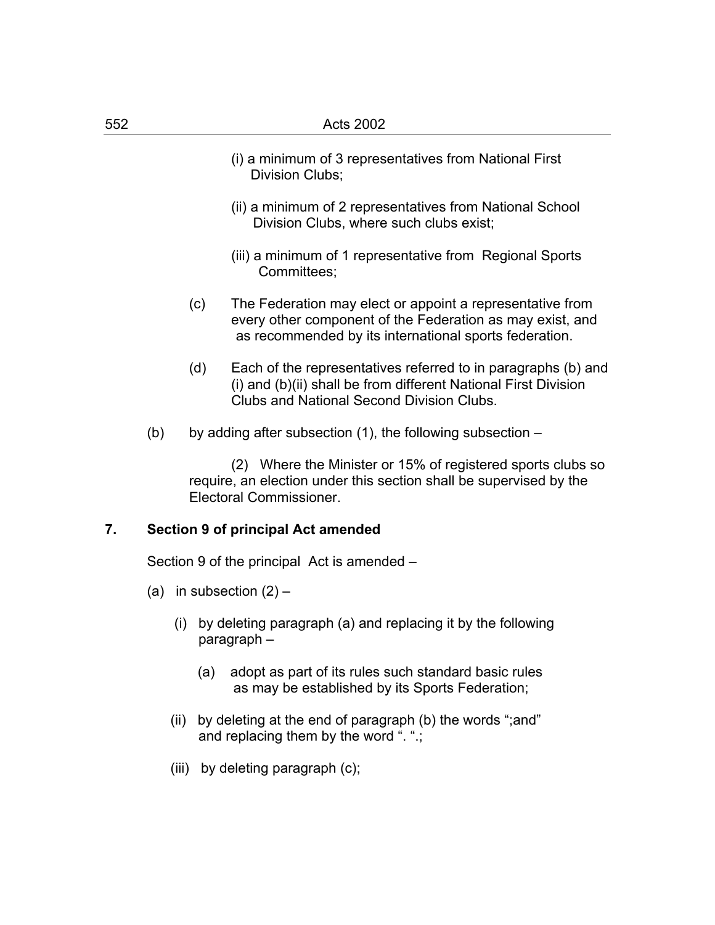- (i) a minimum of 3 representatives from National First Division Clubs;
- (ii) a minimum of 2 representatives from National School Division Clubs, where such clubs exist;
- (iii) a minimum of 1 representative from Regional Sports Committees;
- (c) The Federation may elect or appoint a representative from every other component of the Federation as may exist, and as recommended by its international sports federation.
- (d) Each of the representatives referred to in paragraphs (b) and (i) and (b)(ii) shall be from different National First Division Clubs and National Second Division Clubs.
- (b) by adding after subsection  $(1)$ , the following subsection –

 (2) Where the Minister or 15% of registered sports clubs so require, an election under this section shall be supervised by the Electoral Commissioner.

# **7. Section 9 of principal Act amended**

Section 9 of the principal Act is amended –

- (a) in subsection  $(2)$ 
	- (i) by deleting paragraph (a) and replacing it by the following paragraph –
		- (a) adopt as part of its rules such standard basic rules as may be established by its Sports Federation;
	- (ii) by deleting at the end of paragraph (b) the words ";and" and replacing them by the word ". ".;
	- (iii) by deleting paragraph (c);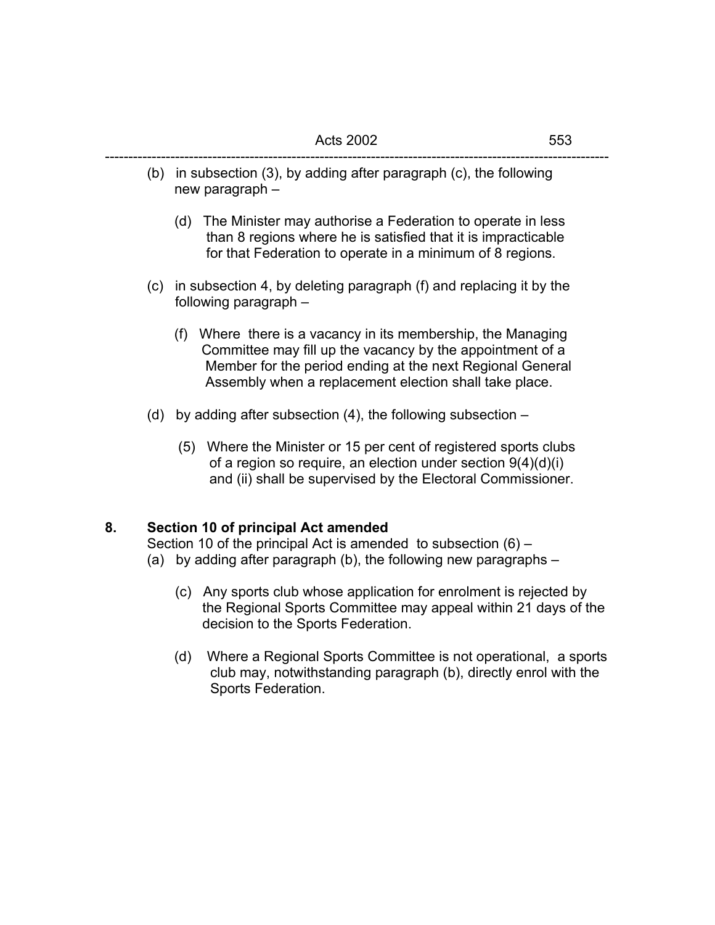(b) in subsection (3), by adding after paragraph (c), the following new paragraph –

------------------------------------------------------------------------------------------------------------

- (d) The Minister may authorise a Federation to operate in less than 8 regions where he is satisfied that it is impracticable for that Federation to operate in a minimum of 8 regions.
- (c) in subsection 4, by deleting paragraph (f) and replacing it by the following paragraph –
	- (f) Where there is a vacancy in its membership, the Managing Committee may fill up the vacancy by the appointment of a Member for the period ending at the next Regional General Assembly when a replacement election shall take place.
- (d) by adding after subsection (4), the following subsection
	- (5) Where the Minister or 15 per cent of registered sports clubs of a region so require, an election under section 9(4)(d)(i) and (ii) shall be supervised by the Electoral Commissioner.

# **8. Section 10 of principal Act amended**

 Section 10 of the principal Act is amended to subsection (6) – (a) by adding after paragraph (b), the following new paragraphs –

- (c) Any sports club whose application for enrolment is rejected by the Regional Sports Committee may appeal within 21 days of the decision to the Sports Federation.
- (d) Where a Regional Sports Committee is not operational, a sports club may, notwithstanding paragraph (b), directly enrol with the Sports Federation.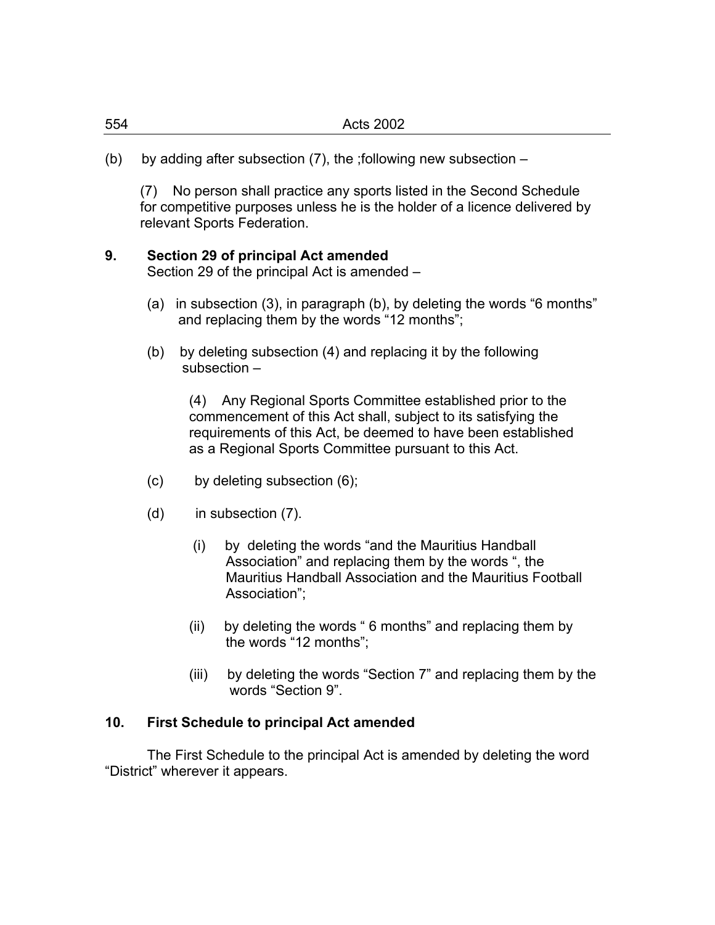(b) by adding after subsection (7), the ;following new subsection –

 (7) No person shall practice any sports listed in the Second Schedule for competitive purposes unless he is the holder of a licence delivered by relevant Sports Federation.

# **9. Section 29 of principal Act amended**

Section 29 of the principal Act is amended –

- (a) in subsection (3), in paragraph (b), by deleting the words "6 months" and replacing them by the words "12 months";
- (b) by deleting subsection (4) and replacing it by the following subsection –

 (4) Any Regional Sports Committee established prior to the commencement of this Act shall, subject to its satisfying the requirements of this Act, be deemed to have been established as a Regional Sports Committee pursuant to this Act.

- (c) by deleting subsection (6);
- (d) in subsection (7).
	- (i) by deleting the words "and the Mauritius Handball Association" and replacing them by the words ", the Mauritius Handball Association and the Mauritius Football Association";
	- (ii) by deleting the words " 6 months" and replacing them by the words "12 months";
	- (iii) by deleting the words "Section 7" and replacing them by the words "Section 9".

#### **10. First Schedule to principal Act amended**

 The First Schedule to the principal Act is amended by deleting the word "District" wherever it appears.